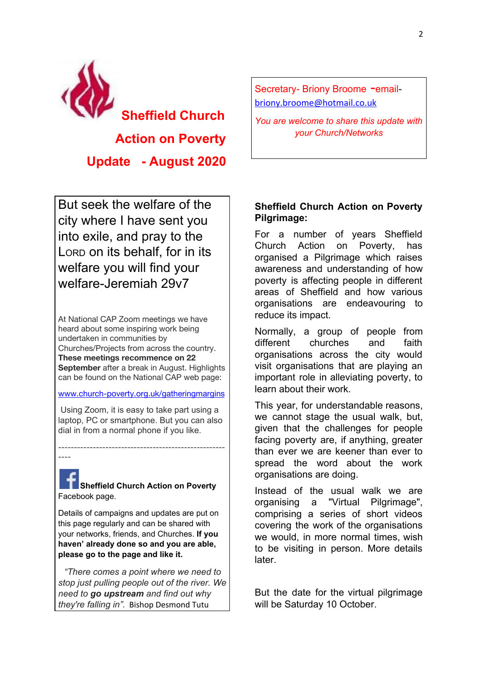

**Update - August 2020**

But seek the welfare of the city where I have sent you into exile, and pray to the LORD on its behalf, for in its welfare you will find your welfare-Jeremiah 29v7

At National CAP Zoom meetings we have heard about some inspiring work being undertaken in communities by Churches/Projects from across the country. **These meetings recommence on 22 September** after a break in August. Highlights can be found on the National CAP web page:

www.church-poverty.org.uk/gatheringmargins

 Using Zoom, it is easy to take part using a laptop, PC or smartphone. But you can also dial in from a normal phone if you like.

-----------------------------------------------------

----

**Sheffield Church Action on Poverty** Facebook page.

Details of campaigns and updates are put on this page regularly and can be shared with your networks, friends, and Churches. **If you haven' already done so and you are able, please go to the page and like it.**

*"There comes a point where we need to stop just pulling people out of the river. We need to go upstream and find out why they're falling in".* Bishop Desmond Tutu

Secretary- Briony Broome -emailbriony.broome@hotmail.co.uk

*You are welcome to share this update with your Church/Networks*

## **Sheffield Church Action on Poverty Pilgrimage:**

For a number of years Sheffield Church Action on Poverty, has organised a Pilgrimage which raises awareness and understanding of how poverty is affecting people in different areas of Sheffield and how various organisations are endeavouring to reduce its impact.

Normally, a group of people from different churches and faith organisations across the city would visit organisations that are playing an important role in alleviating poverty, to learn about their work.

This year, for understandable reasons, we cannot stage the usual walk, but, given that the challenges for people facing poverty are, if anything, greater than ever we are keener than ever to spread the word about the work organisations are doing.

Instead of the usual walk we are organising a "Virtual Pilgrimage", comprising a series of short videos covering the work of the organisations we would, in more normal times, wish to be visiting in person. More details later.

But the date for the virtual pilgrimage will be Saturday 10 October.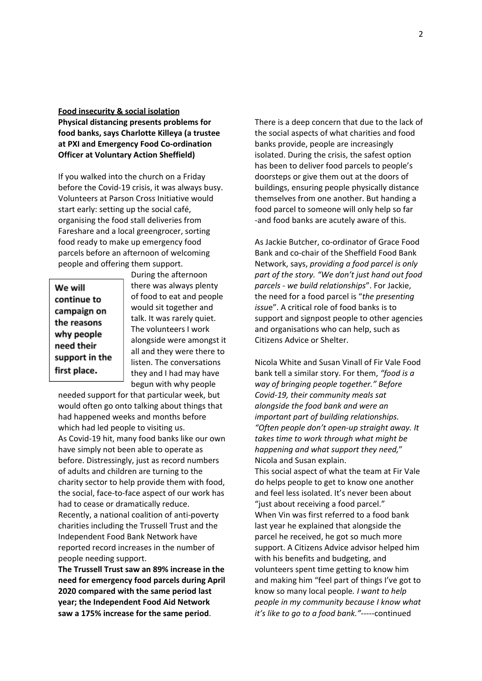## **Food insecurity & social isolation**

**Physical distancing presents problems for food banks, says Charlotte Killeya (a trustee at PXI and Emergency Food Co-ordination Officer at Voluntary Action Sheffield)**

If you walked into the church on a Friday before the Covid-19 crisis, it was always busy. Volunteers at Parson Cross Initiative would start early: setting up the social café, organising the food stall deliveries from Fareshare and a local greengrocer, sorting food ready to make up emergency food parcels before an afternoon of welcoming people and offering them support.

We will continue to campaign on the reasons why people need their support in the first place.

During the afternoon there was always plenty of food to eat and people would sit together and talk. It was rarely quiet. The volunteers I work alongside were amongst it all and they were there to listen. The conversations they and I had may have begun with why people

needed support for that particular week, but would often go onto talking about things that had happened weeks and months before which had led people to visiting us. As Covid-19 hit, many food banks like our own have simply not been able to operate as before. Distressingly, just as record numbers of adults and children are turning to the charity sector to help provide them with food, the social, face-to-face aspect of our work has had to cease or dramatically reduce. Recently, a national coalition of anti-poverty charities including the Trussell Trust and the Independent Food Bank Network have reported record increases in the number of people needing support.

**The Trussell Trust saw an 89% increase in the need for emergency food parcels during April 2020 compared with the same period last year; the Independent Food Aid Network saw a 175% increase for the same period**.

There is a deep concern that due to the lack of the social aspects of what charities and food banks provide, people are increasingly isolated. During the crisis, the safest option has been to deliver food parcels to people's doorsteps or give them out at the doors of buildings, ensuring people physically distance themselves from one another. But handing a food parcel to someone will only help so far -and food banks are acutely aware of this.

As Jackie Butcher, co-ordinator of Grace Food Bank and co-chair of the Sheffield Food Bank Network, says, *providing a food parcel is only part of the story. "We don't just hand out food parcels - we build relationships*". For Jackie, the need for a food parcel is "*the presenting issu*e". A critical role of food banks is to support and signpost people to other agencies and organisations who can help, such as Citizens Advice or Shelter.

Nicola White and Susan Vinall of Fir Vale Food bank tell a similar story. For them, *"food is a way of bringing people together." Before Covid-19, their community meals sat alongside the food bank and were an important part of building relationships. "Often people don't open-up straight away. It takes time to work through what might be happening and what support they need,*" Nicola and Susan explain.

This social aspect of what the team at Fir Vale do helps people to get to know one another and feel less isolated. It's never been about "just about receiving a food parcel." When Vin was first referred to a food bank last year he explained that alongside the parcel he received, he got so much more support. A Citizens Advice advisor helped him with his benefits and budgeting, and volunteers spent time getting to know him and making him "feel part of things I've got to know so many local people*. I want to help people in my community because I know what it's like to go to a food bank."-----*continued